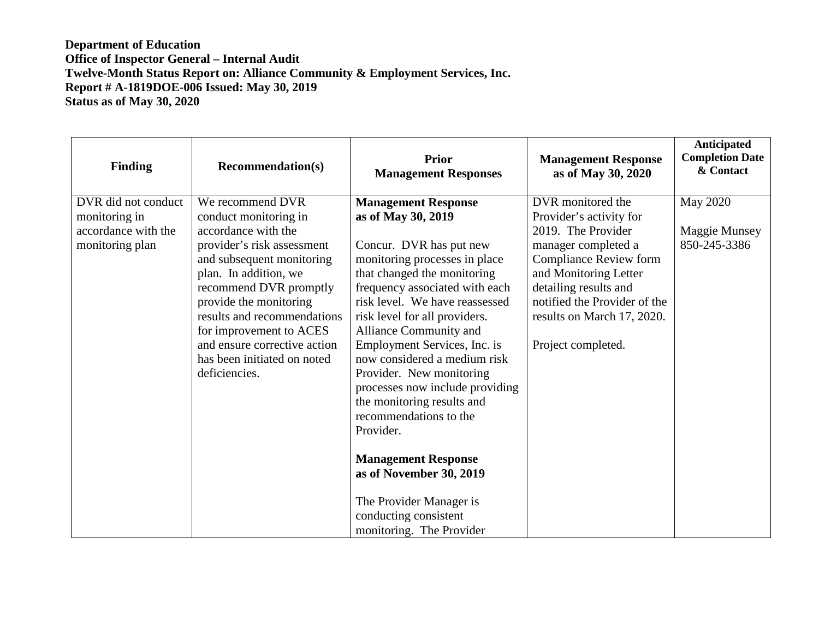| <b>Finding</b>                                                                 | <b>Recommendation(s)</b>                                                                                                                                                                                                                                                                                                                           | <b>Prior</b><br><b>Management Responses</b>                                                                                                                                                                                                                                                                                                                                                                                                                                                                                                                                                                             | <b>Management Response</b><br>as of May 30, 2020                                                                                                                                                                                                                 | Anticipated<br><b>Completion Date</b><br>& Contact      |
|--------------------------------------------------------------------------------|----------------------------------------------------------------------------------------------------------------------------------------------------------------------------------------------------------------------------------------------------------------------------------------------------------------------------------------------------|-------------------------------------------------------------------------------------------------------------------------------------------------------------------------------------------------------------------------------------------------------------------------------------------------------------------------------------------------------------------------------------------------------------------------------------------------------------------------------------------------------------------------------------------------------------------------------------------------------------------------|------------------------------------------------------------------------------------------------------------------------------------------------------------------------------------------------------------------------------------------------------------------|---------------------------------------------------------|
| DVR did not conduct<br>monitoring in<br>accordance with the<br>monitoring plan | We recommend DVR<br>conduct monitoring in<br>accordance with the<br>provider's risk assessment<br>and subsequent monitoring<br>plan. In addition, we<br>recommend DVR promptly<br>provide the monitoring<br>results and recommendations<br>for improvement to ACES<br>and ensure corrective action<br>has been initiated on noted<br>deficiencies. | <b>Management Response</b><br>as of May 30, 2019<br>Concur. DVR has put new<br>monitoring processes in place<br>that changed the monitoring<br>frequency associated with each<br>risk level. We have reassessed<br>risk level for all providers.<br>Alliance Community and<br>Employment Services, Inc. is<br>now considered a medium risk<br>Provider. New monitoring<br>processes now include providing<br>the monitoring results and<br>recommendations to the<br>Provider.<br><b>Management Response</b><br>as of November 30, 2019<br>The Provider Manager is<br>conducting consistent<br>monitoring. The Provider | DVR monitored the<br>Provider's activity for<br>2019. The Provider<br>manager completed a<br><b>Compliance Review form</b><br>and Monitoring Letter<br>detailing results and<br>notified the Provider of the<br>results on March 17, 2020.<br>Project completed. | <b>May 2020</b><br><b>Maggie Munsey</b><br>850-245-3386 |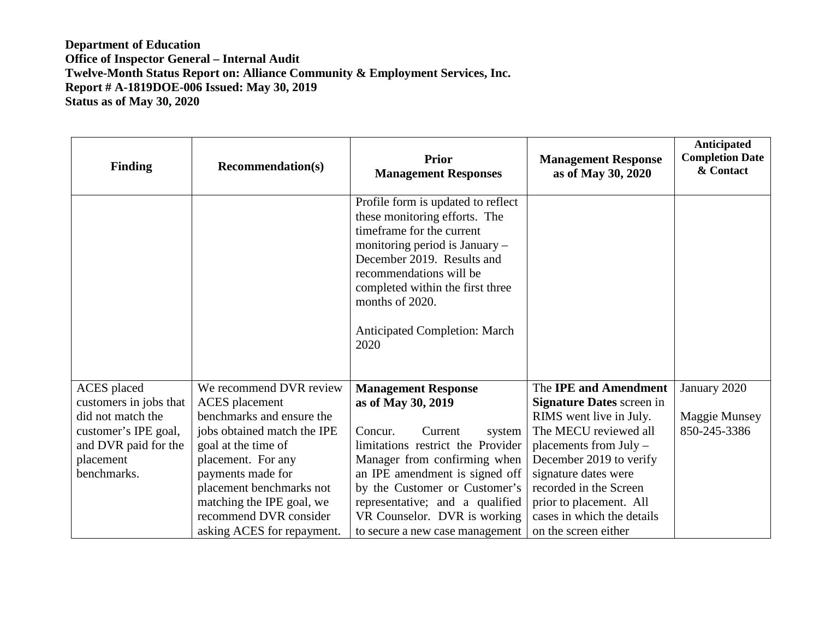| <b>Finding</b>         | <b>Recommendation(s)</b>    | <b>Prior</b><br><b>Management Responses</b>                                                                                                                                                                                                                                                          | <b>Management Response</b><br>as of May 30, 2020 | Anticipated<br><b>Completion Date</b><br>& Contact |
|------------------------|-----------------------------|------------------------------------------------------------------------------------------------------------------------------------------------------------------------------------------------------------------------------------------------------------------------------------------------------|--------------------------------------------------|----------------------------------------------------|
|                        |                             | Profile form is updated to reflect<br>these monitoring efforts. The<br>timeframe for the current<br>monitoring period is $January -$<br>December 2019. Results and<br>recommendations will be<br>completed within the first three<br>months of 2020.<br><b>Anticipated Completion: March</b><br>2020 |                                                  |                                                    |
| <b>ACES</b> placed     | We recommend DVR review     | <b>Management Response</b>                                                                                                                                                                                                                                                                           | The IPE and Amendment                            | January 2020                                       |
| customers in jobs that | <b>ACES</b> placement       | as of May 30, 2019                                                                                                                                                                                                                                                                                   | <b>Signature Dates screen in</b>                 |                                                    |
| did not match the      | benchmarks and ensure the   |                                                                                                                                                                                                                                                                                                      | RIMS went live in July.                          | <b>Maggie Munsey</b>                               |
| customer's IPE goal,   | jobs obtained match the IPE | Concur.<br>Current<br>system                                                                                                                                                                                                                                                                         | The MECU reviewed all                            | 850-245-3386                                       |
| and DVR paid for the   | goal at the time of         | limitations restrict the Provider                                                                                                                                                                                                                                                                    | placements from July -                           |                                                    |
| placement              | placement. For any          | Manager from confirming when                                                                                                                                                                                                                                                                         | December 2019 to verify                          |                                                    |
| benchmarks.            | payments made for           | an IPE amendment is signed off                                                                                                                                                                                                                                                                       | signature dates were                             |                                                    |
|                        | placement benchmarks not    | by the Customer or Customer's                                                                                                                                                                                                                                                                        | recorded in the Screen                           |                                                    |
|                        | matching the IPE goal, we   | representative; and a qualified                                                                                                                                                                                                                                                                      | prior to placement. All                          |                                                    |
|                        | recommend DVR consider      | VR Counselor. DVR is working                                                                                                                                                                                                                                                                         | cases in which the details                       |                                                    |
|                        | asking ACES for repayment.  | to secure a new case management                                                                                                                                                                                                                                                                      | on the screen either                             |                                                    |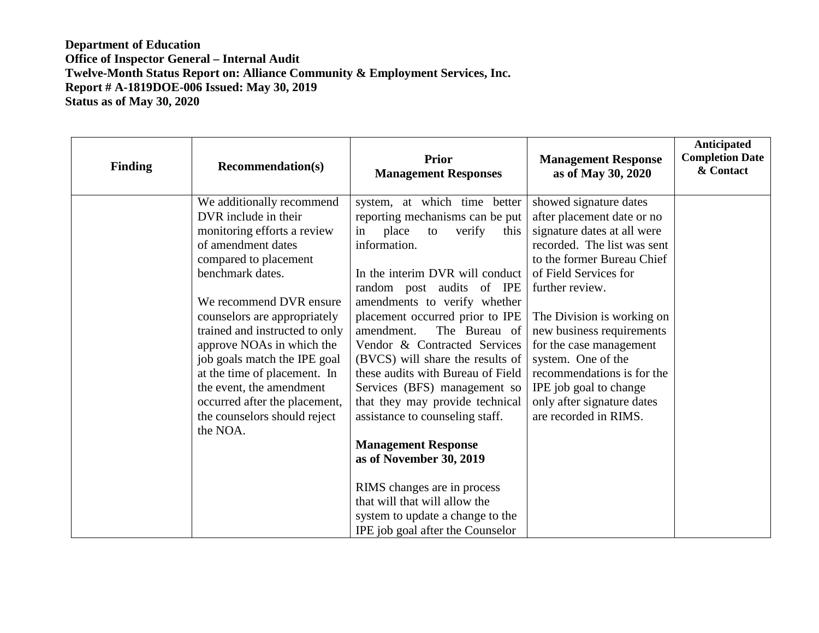| <b>Finding</b> | <b>Recommendation(s)</b>       | <b>Prior</b><br><b>Management Responses</b>                                                                                                                                                   | <b>Management Response</b><br>as of May 30, 2020 | Anticipated<br><b>Completion Date</b><br>& Contact |
|----------------|--------------------------------|-----------------------------------------------------------------------------------------------------------------------------------------------------------------------------------------------|--------------------------------------------------|----------------------------------------------------|
|                | We additionally recommend      | system, at which time better                                                                                                                                                                  | showed signature dates                           |                                                    |
|                | DVR include in their           | reporting mechanisms can be put                                                                                                                                                               | after placement date or no                       |                                                    |
|                | monitoring efforts a review    | place<br>verify<br>in<br>to<br>this                                                                                                                                                           | signature dates at all were                      |                                                    |
|                | of amendment dates             | information.                                                                                                                                                                                  | recorded. The list was sent                      |                                                    |
|                | compared to placement          |                                                                                                                                                                                               | to the former Bureau Chief                       |                                                    |
|                | benchmark dates.               | In the interim DVR will conduct                                                                                                                                                               | of Field Services for                            |                                                    |
|                |                                | random post audits of IPE                                                                                                                                                                     | further review.                                  |                                                    |
|                | We recommend DVR ensure        | amendments to verify whether                                                                                                                                                                  |                                                  |                                                    |
|                | counselors are appropriately   | placement occurred prior to IPE                                                                                                                                                               | The Division is working on                       |                                                    |
|                | trained and instructed to only | The Bureau of<br>amendment.                                                                                                                                                                   | new business requirements                        |                                                    |
|                | approve NOAs in which the      | Vendor & Contracted Services                                                                                                                                                                  | for the case management                          |                                                    |
|                | job goals match the IPE goal   | (BVCS) will share the results of                                                                                                                                                              | system. One of the                               |                                                    |
|                | at the time of placement. In   | these audits with Bureau of Field                                                                                                                                                             | recommendations is for the                       |                                                    |
|                | the event, the amendment       | Services (BFS) management so                                                                                                                                                                  | IPE job goal to change                           |                                                    |
|                | occurred after the placement,  | that they may provide technical                                                                                                                                                               | only after signature dates                       |                                                    |
|                | the counselors should reject   | assistance to counseling staff.                                                                                                                                                               | are recorded in RIMS.                            |                                                    |
|                | the NOA.                       |                                                                                                                                                                                               |                                                  |                                                    |
|                |                                |                                                                                                                                                                                               |                                                  |                                                    |
|                |                                |                                                                                                                                                                                               |                                                  |                                                    |
|                |                                |                                                                                                                                                                                               |                                                  |                                                    |
|                |                                |                                                                                                                                                                                               |                                                  |                                                    |
|                |                                |                                                                                                                                                                                               |                                                  |                                                    |
|                |                                |                                                                                                                                                                                               |                                                  |                                                    |
|                |                                | <b>Management Response</b><br>as of November 30, 2019<br>RIMS changes are in process<br>that will that will allow the<br>system to update a change to the<br>IPE job goal after the Counselor |                                                  |                                                    |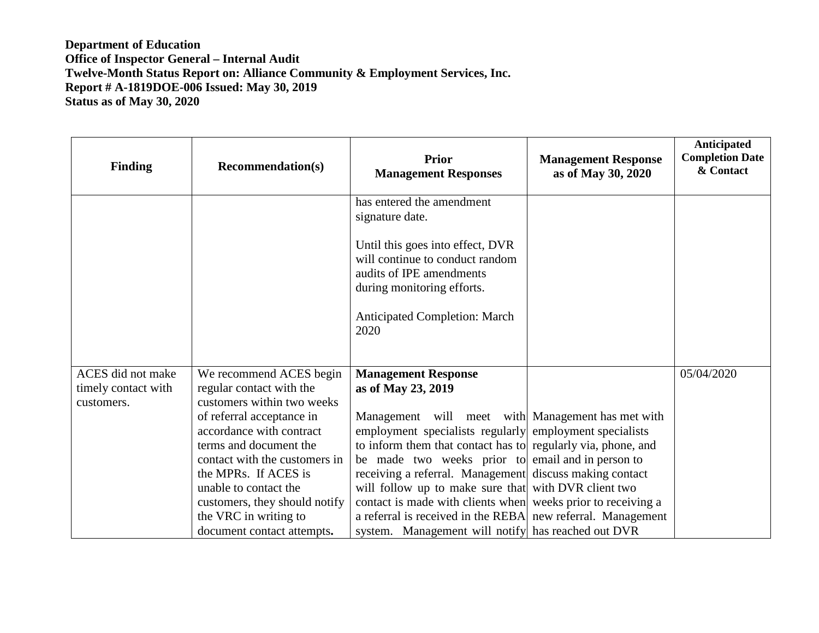| <b>Finding</b>                                         | <b>Recommendation(s)</b>                                                                                                                                                                                                                                  | <b>Prior</b><br><b>Management Responses</b>                                                                                                                                                                                                                                                                                                                                                                                                                                                                                               | <b>Management Response</b><br>as of May 30, 2020 | Anticipated<br><b>Completion Date</b><br>& Contact |
|--------------------------------------------------------|-----------------------------------------------------------------------------------------------------------------------------------------------------------------------------------------------------------------------------------------------------------|-------------------------------------------------------------------------------------------------------------------------------------------------------------------------------------------------------------------------------------------------------------------------------------------------------------------------------------------------------------------------------------------------------------------------------------------------------------------------------------------------------------------------------------------|--------------------------------------------------|----------------------------------------------------|
|                                                        |                                                                                                                                                                                                                                                           | has entered the amendment<br>signature date.                                                                                                                                                                                                                                                                                                                                                                                                                                                                                              |                                                  |                                                    |
|                                                        |                                                                                                                                                                                                                                                           | Until this goes into effect, DVR<br>will continue to conduct random<br>audits of IPE amendments<br>during monitoring efforts.                                                                                                                                                                                                                                                                                                                                                                                                             |                                                  |                                                    |
|                                                        |                                                                                                                                                                                                                                                           | <b>Anticipated Completion: March</b><br>2020                                                                                                                                                                                                                                                                                                                                                                                                                                                                                              |                                                  |                                                    |
| ACES did not make<br>timely contact with<br>customers. | We recommend ACES begin<br>regular contact with the<br>customers within two weeks                                                                                                                                                                         | <b>Management Response</b><br>as of May 23, 2019                                                                                                                                                                                                                                                                                                                                                                                                                                                                                          |                                                  | 05/04/2020                                         |
|                                                        | of referral acceptance in<br>accordance with contract<br>terms and document the<br>contact with the customers in<br>the MPRs. If ACES is<br>unable to contact the<br>customers, they should notify<br>the VRC in writing to<br>document contact attempts. | Management will meet with Management has met with<br>employment specialists regularly employment specialists<br>to inform them that contact has to regularly via, phone, and<br>be made two weeks prior to email and in person to<br>receiving a referral. Management discuss making contact<br>will follow up to make sure that with DVR client two<br>contact is made with clients when weeks prior to receiving a<br>a referral is received in the REBA new referral. Management<br>system. Management will notify has reached out DVR |                                                  |                                                    |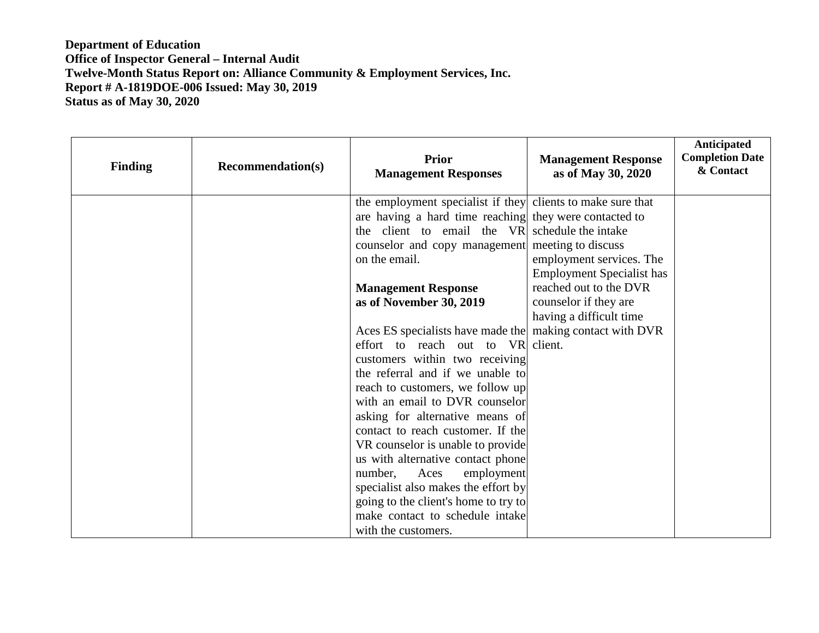| <b>Finding</b> | <b>Recommendation(s)</b> | <b>Prior</b><br><b>Management Responses</b>                             | <b>Management Response</b><br>as of May 30, 2020 | Anticipated<br><b>Completion Date</b><br>& Contact |
|----------------|--------------------------|-------------------------------------------------------------------------|--------------------------------------------------|----------------------------------------------------|
|                |                          | the employment specialist if they clients to make sure that             |                                                  |                                                    |
|                |                          | are having a hard time reaching they were contacted to                  |                                                  |                                                    |
|                |                          | the client to email the VR                                              | schedule the intake                              |                                                    |
|                |                          | counselor and copy management                                           | meeting to discuss                               |                                                    |
|                |                          | on the email.                                                           | employment services. The                         |                                                    |
|                |                          |                                                                         | <b>Employment Specialist has</b>                 |                                                    |
|                |                          | <b>Management Response</b>                                              | reached out to the DVR                           |                                                    |
|                |                          | as of November 30, 2019                                                 | counselor if they are                            |                                                    |
|                |                          |                                                                         | having a difficult time                          |                                                    |
|                |                          | Aces ES specialists have made the making contact with DVR               |                                                  |                                                    |
|                |                          | effort to reach out to VR client.                                       |                                                  |                                                    |
|                |                          | customers within two receiving                                          |                                                  |                                                    |
|                |                          | the referral and if we unable to                                        |                                                  |                                                    |
|                |                          | reach to customers, we follow up                                        |                                                  |                                                    |
|                |                          | with an email to DVR counselor                                          |                                                  |                                                    |
|                |                          | asking for alternative means of                                         |                                                  |                                                    |
|                |                          | contact to reach customer. If the                                       |                                                  |                                                    |
|                |                          | VR counselor is unable to provide                                       |                                                  |                                                    |
|                |                          | us with alternative contact phone                                       |                                                  |                                                    |
|                |                          | number,<br>Aces<br>employment                                           |                                                  |                                                    |
|                |                          | specialist also makes the effort by                                     |                                                  |                                                    |
|                |                          | going to the client's home to try to<br>make contact to schedule intake |                                                  |                                                    |
|                |                          | with the customers.                                                     |                                                  |                                                    |
|                |                          |                                                                         |                                                  |                                                    |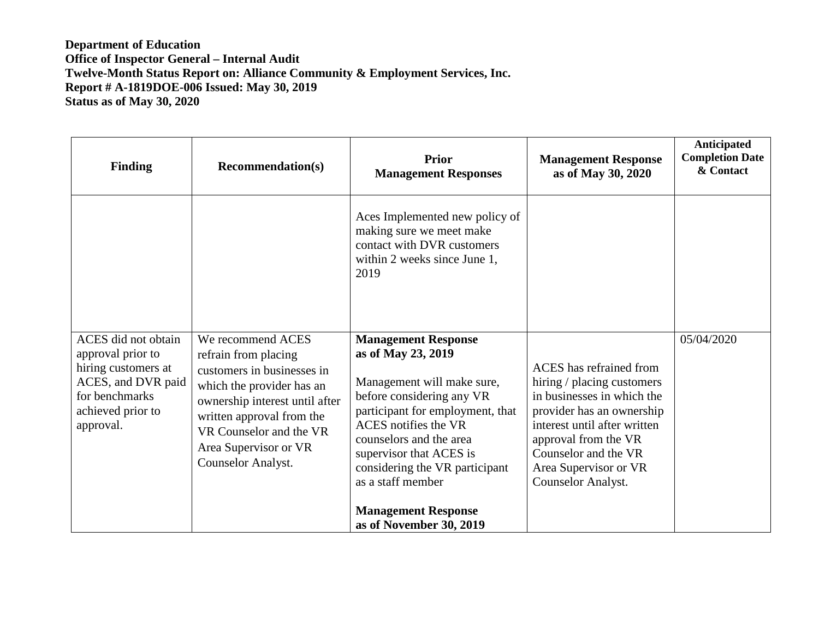| <b>Finding</b>                                                                                                                            | <b>Recommendation(s)</b>                                                                                                                                                                                                                      | <b>Prior</b><br><b>Management Responses</b>                                                                                                                                                                                                                                                                                                          | <b>Management Response</b><br>as of May 30, 2020                                                                                                                                                                                                | Anticipated<br><b>Completion Date</b><br>& Contact |
|-------------------------------------------------------------------------------------------------------------------------------------------|-----------------------------------------------------------------------------------------------------------------------------------------------------------------------------------------------------------------------------------------------|------------------------------------------------------------------------------------------------------------------------------------------------------------------------------------------------------------------------------------------------------------------------------------------------------------------------------------------------------|-------------------------------------------------------------------------------------------------------------------------------------------------------------------------------------------------------------------------------------------------|----------------------------------------------------|
|                                                                                                                                           |                                                                                                                                                                                                                                               | Aces Implemented new policy of<br>making sure we meet make<br>contact with DVR customers<br>within 2 weeks since June 1,<br>2019                                                                                                                                                                                                                     |                                                                                                                                                                                                                                                 |                                                    |
| ACES did not obtain<br>approval prior to<br>hiring customers at<br>ACES, and DVR paid<br>for benchmarks<br>achieved prior to<br>approval. | We recommend ACES<br>refrain from placing<br>customers in businesses in<br>which the provider has an<br>ownership interest until after<br>written approval from the<br>VR Counselor and the VR<br>Area Supervisor or VR<br>Counselor Analyst. | <b>Management Response</b><br>as of May 23, 2019<br>Management will make sure,<br>before considering any VR<br>participant for employment, that<br><b>ACES</b> notifies the VR<br>counselors and the area<br>supervisor that ACES is<br>considering the VR participant<br>as a staff member<br><b>Management Response</b><br>as of November 30, 2019 | ACES has refrained from<br>hiring / placing customers<br>in businesses in which the<br>provider has an ownership<br>interest until after written<br>approval from the VR<br>Counselor and the VR<br>Area Supervisor or VR<br>Counselor Analyst. | 05/04/2020                                         |